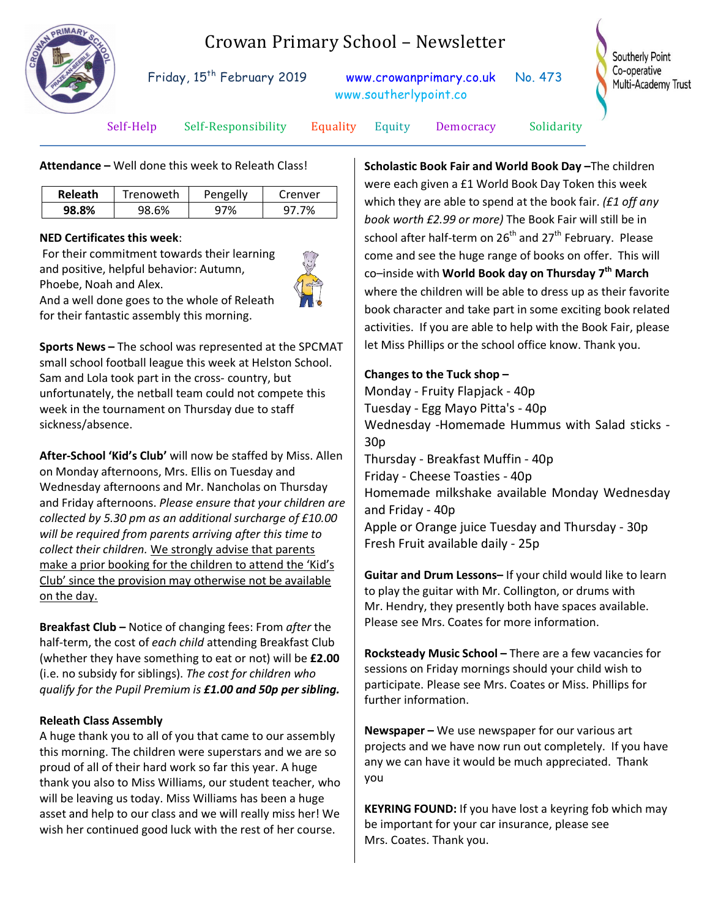

# Crowan Primary School – Newsletter

Friday, 15<sup>th</sup> February 2019 [www.crowanprimary.co.uk](http://www.crowanprimary.co.uk/) No. 473 www.southerlypoint.co

Southerly Point Co-operative Multi-Academy Trust

Self-Help Self-Responsibility Equality Equity Democracy Solidarity

**Attendance –** Well done this week to Releath Class!

| <b>Releath</b> | Trenoweth | Pengelly | Crenver |
|----------------|-----------|----------|---------|
| 98.8%          | 98.6%     | 7%       | 7%      |

### **NED Certificates this week**:

For their commitment towards their learning and positive, helpful behavior: Autumn, Phoebe, Noah and Alex. And a well done goes to the whole of Releath



for their fantastic assembly this morning.

**Sports News –** The school was represented at the SPCMAT small school football league this week at Helston School. Sam and Lola took part in the cross- country, but unfortunately, the netball team could not compete this week in the tournament on Thursday due to staff sickness/absence.

**After-School 'Kid's Club'** will now be staffed by Miss. Allen on Monday afternoons, Mrs. Ellis on Tuesday and Wednesday afternoons and Mr. Nancholas on Thursday and Friday afternoons. *Please ensure that your children are collected by 5.30 pm as an additional surcharge of £10.00 will be required from parents arriving after this time to collect their children.* We strongly advise that parents make a prior booking for the children to attend the 'Kid's Club' since the provision may otherwise not be available on the day.

**Breakfast Club –** Notice of changing fees: From *after* the half-term, the cost of *each child* attending Breakfast Club (whether they have something to eat or not) will be **£2.00** (i.e. no subsidy for siblings). *The cost for children who qualify for the Pupil Premium is £1.00 and 50p per sibling.*

### **Releath Class Assembly**

A huge thank you to all of you that came to our assembly this morning. The children were superstars and we are so proud of all of their hard work so far this year. A huge thank you also to Miss Williams, our student teacher, who will be leaving us today. Miss Williams has been a huge asset and help to our class and we will really miss her! We wish her continued good luck with the rest of her course.

**Scholastic Book Fair and World Book Day –**The children were each given a £1 World Book Day Token this week which they are able to spend at the book fair. *(£1 off any book worth £2.99 or more)* The Book Fair will still be in school after half-term on  $26<sup>th</sup>$  and  $27<sup>th</sup>$  February. Please come and see the huge range of books on offer. This will co–inside with **World Book day on Thursday 7th March** where the children will be able to dress up as their favorite book character and take part in some exciting book related activities. If you are able to help with the Book Fair, please let Miss Phillips or the school office know. Thank you.

### **Changes to the Tuck shop –**

Monday - Fruity Flapjack - 40p Tuesday - Egg Mayo Pitta's - 40p Wednesday -Homemade Hummus with Salad sticks - 30p Thursday - Breakfast Muffin - 40p Friday - Cheese Toasties - 40p Homemade milkshake available Monday Wednesday and Friday - 40p Apple or Orange juice Tuesday and Thursday - 30p Fresh Fruit available daily - 25p

**Guitar and Drum Lessons–** If your child would like to learn to play the guitar with Mr. Collington, or drums with Mr. Hendry, they presently both have spaces available. Please see Mrs. Coates for more information.

**Rocksteady Music School –** There are a few vacancies for sessions on Friday mornings should your child wish to participate. Please see Mrs. Coates or Miss. Phillips for further information.

**Newspaper –** We use newspaper for our various art projects and we have now run out completely. If you have any we can have it would be much appreciated. Thank you

**KEYRING FOUND:** If you have lost a keyring fob which may be important for your car insurance, please see Mrs. Coates. Thank you.